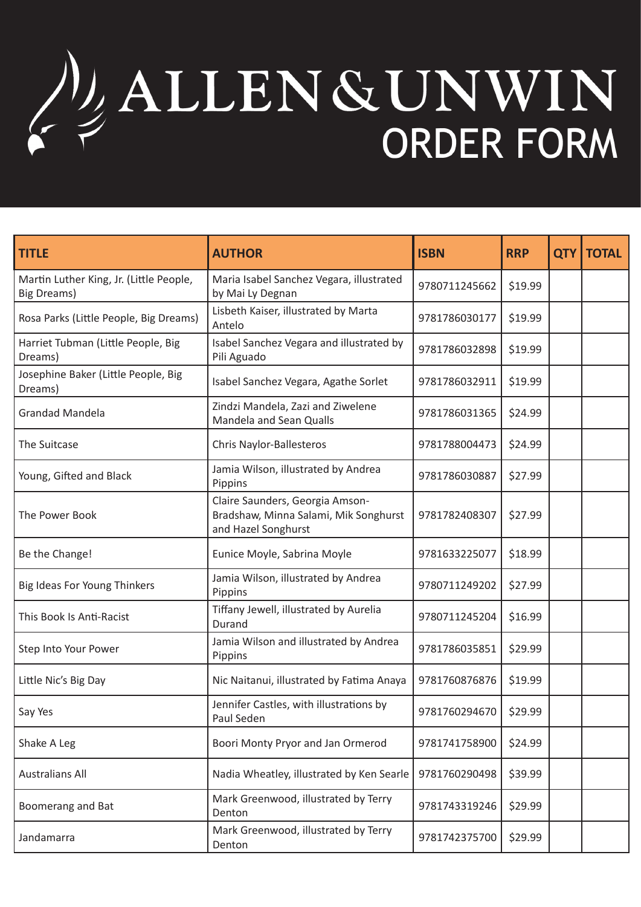## ALLENGUNWIN **ORDER FORM**

| <b>TITLE</b>                                                  | <b>AUTHOR</b>                                                                                   | <b>ISBN</b>   | <b>RRP</b> | <b>QTY</b> | <b>TOTAL</b> |
|---------------------------------------------------------------|-------------------------------------------------------------------------------------------------|---------------|------------|------------|--------------|
| Martin Luther King, Jr. (Little People,<br><b>Big Dreams)</b> | Maria Isabel Sanchez Vegara, illustrated<br>by Mai Ly Degnan                                    | 9780711245662 | \$19.99    |            |              |
| Rosa Parks (Little People, Big Dreams)                        | Lisbeth Kaiser, illustrated by Marta<br>Antelo                                                  | 9781786030177 | \$19.99    |            |              |
| Harriet Tubman (Little People, Big<br>Dreams)                 | Isabel Sanchez Vegara and illustrated by<br>Pili Aguado                                         | 9781786032898 | \$19.99    |            |              |
| Josephine Baker (Little People, Big<br>Dreams)                | Isabel Sanchez Vegara, Agathe Sorlet                                                            | 9781786032911 | \$19.99    |            |              |
| <b>Grandad Mandela</b>                                        | Zindzi Mandela, Zazi and Ziwelene<br>Mandela and Sean Qualls                                    | 9781786031365 | \$24.99    |            |              |
| The Suitcase                                                  | Chris Naylor-Ballesteros                                                                        | 9781788004473 | \$24.99    |            |              |
| Young, Gifted and Black                                       | Jamia Wilson, illustrated by Andrea<br>Pippins                                                  | 9781786030887 | \$27.99    |            |              |
| The Power Book                                                | Claire Saunders, Georgia Amson-<br>Bradshaw, Minna Salami, Mik Songhurst<br>and Hazel Songhurst | 9781782408307 | \$27.99    |            |              |
| Be the Change!                                                | Eunice Moyle, Sabrina Moyle                                                                     | 9781633225077 | \$18.99    |            |              |
| Big Ideas For Young Thinkers                                  | Jamia Wilson, illustrated by Andrea<br>Pippins                                                  | 9780711249202 | \$27.99    |            |              |
| This Book Is Anti-Racist                                      | Tiffany Jewell, illustrated by Aurelia<br>Durand                                                | 9780711245204 | \$16.99    |            |              |
| Step Into Your Power                                          | Jamia Wilson and illustrated by Andrea<br>Pippins                                               | 9781786035851 | \$29.99    |            |              |
| Little Nic's Big Day                                          | Nic Naitanui, illustrated by Fatima Anaya                                                       | 9781760876876 | \$19.99    |            |              |
| Say Yes                                                       | Jennifer Castles, with illustrations by<br>Paul Seden                                           | 9781760294670 | \$29.99    |            |              |
| Shake A Leg                                                   | Boori Monty Pryor and Jan Ormerod                                                               | 9781741758900 | \$24.99    |            |              |
| <b>Australians All</b>                                        | Nadia Wheatley, illustrated by Ken Searle                                                       | 9781760290498 | \$39.99    |            |              |
| Boomerang and Bat                                             | Mark Greenwood, illustrated by Terry<br>Denton                                                  | 9781743319246 | \$29.99    |            |              |
| Jandamarra                                                    | Mark Greenwood, illustrated by Terry<br>Denton                                                  | 9781742375700 | \$29.99    |            |              |